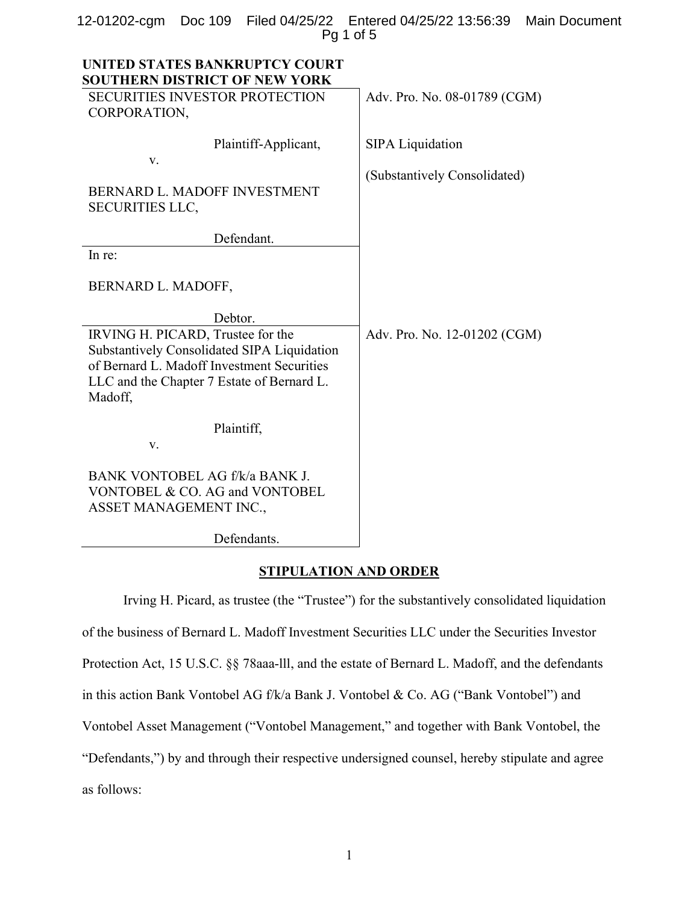|            |  |  | 12-01202-cgm Doc 109 Filed 04/25/22 Entered 04/25/22 13:56:39 Main Document |  |  |
|------------|--|--|-----------------------------------------------------------------------------|--|--|
| $Pq1$ of 5 |  |  |                                                                             |  |  |

| UNITED STATES BANKRUPTCY COURT<br><b>SOUTHERN DISTRICT OF NEW YORK</b>                                                                                                                  |                              |
|-----------------------------------------------------------------------------------------------------------------------------------------------------------------------------------------|------------------------------|
| <b>SECURITIES INVESTOR PROTECTION</b><br>CORPORATION,                                                                                                                                   | Adv. Pro. No. 08-01789 (CGM) |
| Plaintiff-Applicant,<br>v.                                                                                                                                                              | <b>SIPA Liquidation</b>      |
| BERNARD L. MADOFF INVESTMENT<br><b>SECURITIES LLC,</b>                                                                                                                                  | (Substantively Consolidated) |
| Defendant.                                                                                                                                                                              |                              |
| In re:                                                                                                                                                                                  |                              |
| BERNARD L. MADOFF,                                                                                                                                                                      |                              |
| Debtor.                                                                                                                                                                                 |                              |
| IRVING H. PICARD, Trustee for the<br>Substantively Consolidated SIPA Liquidation<br>of Bernard L. Madoff Investment Securities<br>LLC and the Chapter 7 Estate of Bernard L.<br>Madoff, | Adv. Pro. No. 12-01202 (CGM) |
| Plaintiff,                                                                                                                                                                              |                              |
| V.                                                                                                                                                                                      |                              |
| BANK VONTOBEL AG f/k/a BANK J.<br>VONTOBEL & CO. AG and VONTOBEL<br>ASSET MANAGEMENT INC.,                                                                                              |                              |
| Defendants.                                                                                                                                                                             |                              |

### STIPULATION AND ORDER

Irving H. Picard, as trustee (the "Trustee") for the substantively consolidated liquidation of the business of Bernard L. Madoff Investment Securities LLC under the Securities Investor Protection Act, 15 U.S.C. §§ 78aaa-lll, and the estate of Bernard L. Madoff, and the defendants in this action Bank Vontobel AG f/k/a Bank J. Vontobel & Co. AG ("Bank Vontobel") and Vontobel Asset Management ("Vontobel Management," and together with Bank Vontobel, the "Defendants,") by and through their respective undersigned counsel, hereby stipulate and agree as follows: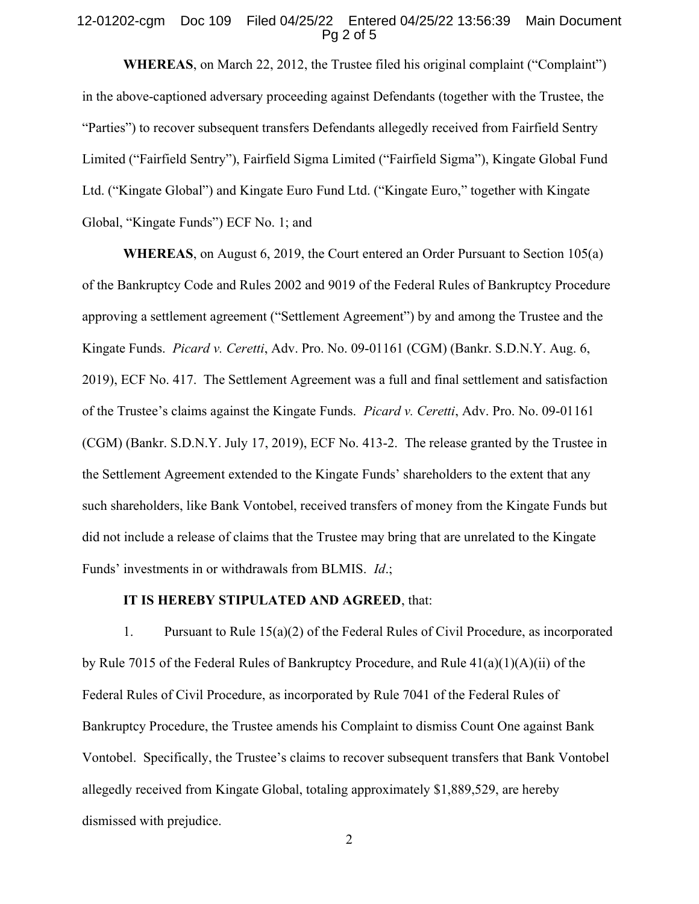### 12-01202-cgm Doc 109 Filed 04/25/22 Entered 04/25/22 13:56:39 Main Document Pg 2 of 5

WHEREAS, on March 22, 2012, the Trustee filed his original complaint ("Complaint") in the above-captioned adversary proceeding against Defendants (together with the Trustee, the "Parties") to recover subsequent transfers Defendants allegedly received from Fairfield Sentry Limited ("Fairfield Sentry"), Fairfield Sigma Limited ("Fairfield Sigma"), Kingate Global Fund Ltd. ("Kingate Global") and Kingate Euro Fund Ltd. ("Kingate Euro," together with Kingate Global, "Kingate Funds") ECF No. 1; and

WHEREAS, on August 6, 2019, the Court entered an Order Pursuant to Section 105(a) of the Bankruptcy Code and Rules 2002 and 9019 of the Federal Rules of Bankruptcy Procedure approving a settlement agreement ("Settlement Agreement") by and among the Trustee and the Kingate Funds. Picard v. Ceretti, Adv. Pro. No. 09-01161 (CGM) (Bankr. S.D.N.Y. Aug. 6, 2019), ECF No. 417. The Settlement Agreement was a full and final settlement and satisfaction of the Trustee's claims against the Kingate Funds. Picard v. Ceretti, Adv. Pro. No. 09-01161 (CGM) (Bankr. S.D.N.Y. July 17, 2019), ECF No. 413-2. The release granted by the Trustee in the Settlement Agreement extended to the Kingate Funds' shareholders to the extent that any such shareholders, like Bank Vontobel, received transfers of money from the Kingate Funds but did not include a release of claims that the Trustee may bring that are unrelated to the Kingate Funds' investments in or withdrawals from BLMIS. Id.;

### IT IS HEREBY STIPULATED AND AGREED, that:

1. Pursuant to Rule 15(a)(2) of the Federal Rules of Civil Procedure, as incorporated by Rule 7015 of the Federal Rules of Bankruptcy Procedure, and Rule 41(a)(1)(A)(ii) of the Federal Rules of Civil Procedure, as incorporated by Rule 7041 of the Federal Rules of Bankruptcy Procedure, the Trustee amends his Complaint to dismiss Count One against Bank Vontobel. Specifically, the Trustee's claims to recover subsequent transfers that Bank Vontobel allegedly received from Kingate Global, totaling approximately \$1,889,529, are hereby dismissed with prejudice.

2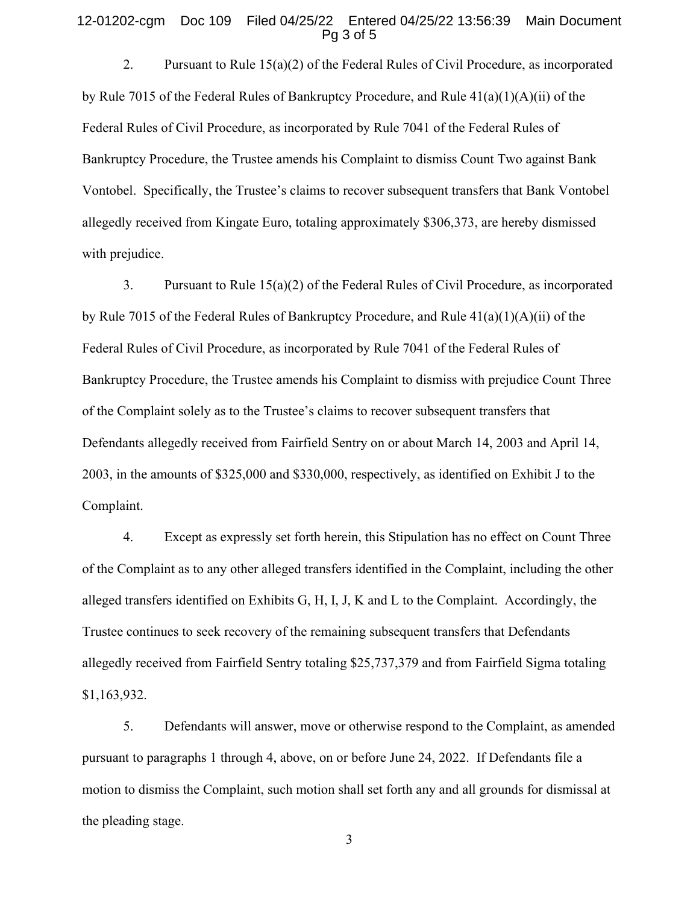### 12-01202-cgm Doc 109 Filed 04/25/22 Entered 04/25/22 13:56:39 Main Document Pg 3 of 5

2. Pursuant to Rule  $15(a)(2)$  of the Federal Rules of Civil Procedure, as incorporated by Rule 7015 of the Federal Rules of Bankruptcy Procedure, and Rule 41(a)(1)(A)(ii) of the Federal Rules of Civil Procedure, as incorporated by Rule 7041 of the Federal Rules of Bankruptcy Procedure, the Trustee amends his Complaint to dismiss Count Two against Bank Vontobel. Specifically, the Trustee's claims to recover subsequent transfers that Bank Vontobel allegedly received from Kingate Euro, totaling approximately \$306,373, are hereby dismissed with prejudice.

3. Pursuant to Rule 15(a)(2) of the Federal Rules of Civil Procedure, as incorporated by Rule 7015 of the Federal Rules of Bankruptcy Procedure, and Rule 41(a)(1)(A)(ii) of the Federal Rules of Civil Procedure, as incorporated by Rule 7041 of the Federal Rules of Bankruptcy Procedure, the Trustee amends his Complaint to dismiss with prejudice Count Three of the Complaint solely as to the Trustee's claims to recover subsequent transfers that Defendants allegedly received from Fairfield Sentry on or about March 14, 2003 and April 14, 2003, in the amounts of \$325,000 and \$330,000, respectively, as identified on Exhibit J to the Complaint.

4. Except as expressly set forth herein, this Stipulation has no effect on Count Three of the Complaint as to any other alleged transfers identified in the Complaint, including the other alleged transfers identified on Exhibits G, H, I, J, K and L to the Complaint. Accordingly, the Trustee continues to seek recovery of the remaining subsequent transfers that Defendants allegedly received from Fairfield Sentry totaling \$25,737,379 and from Fairfield Sigma totaling \$1,163,932.

5. Defendants will answer, move or otherwise respond to the Complaint, as amended pursuant to paragraphs 1 through 4, above, on or before June 24, 2022. If Defendants file a motion to dismiss the Complaint, such motion shall set forth any and all grounds for dismissal at the pleading stage.

3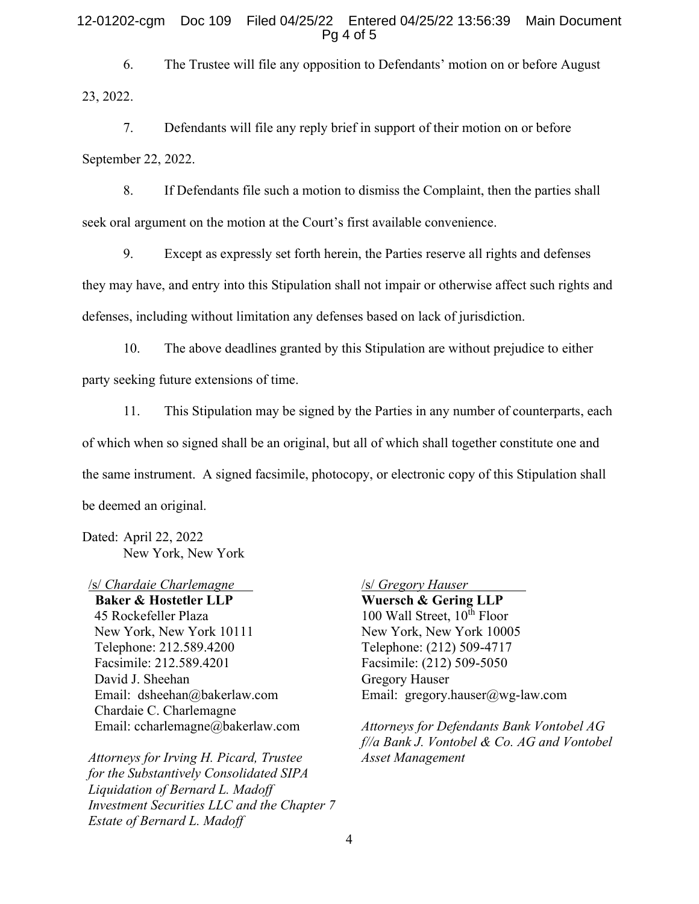### 12-01202-cgm Doc 109 Filed 04/25/22 Entered 04/25/22 13:56:39 Main Document Pg 4 of 5

6. The Trustee will file any opposition to Defendants' motion on or before August 23, 2022.

7. Defendants will file any reply brief in support of their motion on or before September 22, 2022.

8. If Defendants file such a motion to dismiss the Complaint, then the parties shall seek oral argument on the motion at the Court's first available convenience.

9. Except as expressly set forth herein, the Parties reserve all rights and defenses they may have, and entry into this Stipulation shall not impair or otherwise affect such rights and defenses, including without limitation any defenses based on lack of jurisdiction.

10. The above deadlines granted by this Stipulation are without prejudice to either party seeking future extensions of time.

11. This Stipulation may be signed by the Parties in any number of counterparts, each of which when so signed shall be an original, but all of which shall together constitute one and the same instrument. A signed facsimile, photocopy, or electronic copy of this Stipulation shall be deemed an original.

Dated: April 22, 2022 New York, New York

/s/ Chardaie Charlemagne Baker & Hostetler LLP 45 Rockefeller Plaza New York, New York 10111 Telephone: 212.589.4200 Facsimile: 212.589.4201 David J. Sheehan Email: dsheehan@bakerlaw.com Chardaie C. Charlemagne Email: ccharlemagne@bakerlaw.com

Attorneys for Irving H. Picard, Trustee for the Substantively Consolidated SIPA Liquidation of Bernard L. Madoff Investment Securities LLC and the Chapter 7 Estate of Bernard L. Madoff

# /s/ Gregory Hauser

Wuersch & Gering LLP 100 Wall Street,  $10^{th}$  Floor New York, New York 10005 Telephone: (212) 509-4717 Facsimile: (212) 509-5050 Gregory Hauser Email: gregory.hauser@wg-law.com

Attorneys for Defendants Bank Vontobel AG f//a Bank J. Vontobel & Co. AG and Vontobel Asset Management